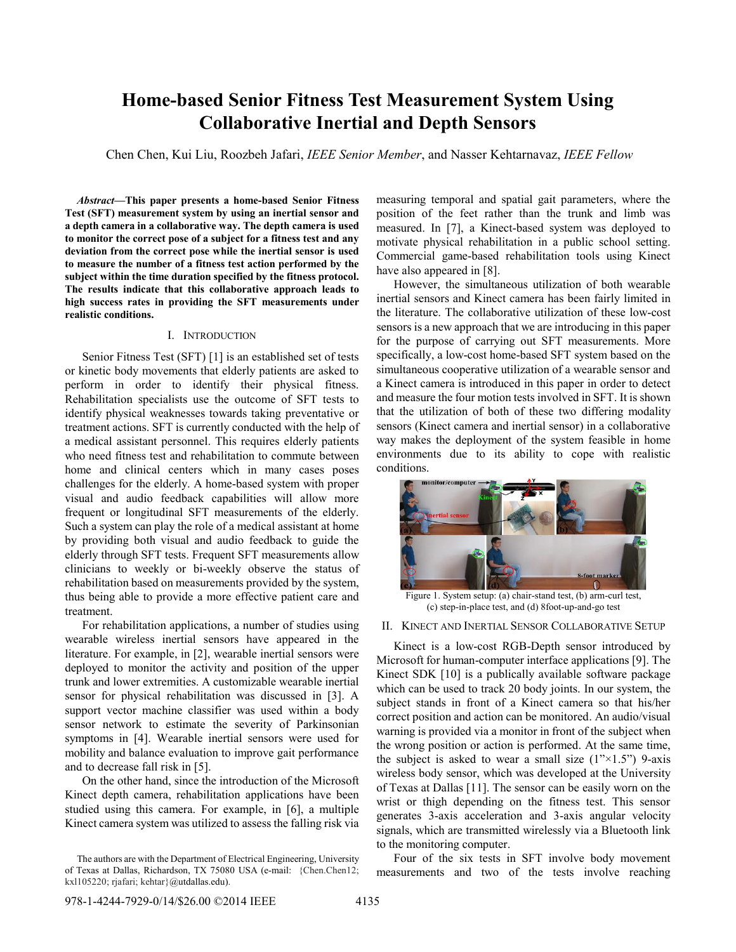# **Home-based Senior Fitness Test Measurement System Using Collaborative Inertial and Depth Sensors**

Chen Chen, Kui Liu, Roozbeh Jafari, *IEEE Senior Member*, and Nasser Kehtarnavaz, *IEEE Fellow*

*Abstract***—This paper presents a home-based Senior Fitness Test (SFT) measurement system by using an inertial sensor and a depth camera in a collaborative way. The depth camera is used to monitor the correct pose of a subject for a fitness test and any deviation from the correct pose while the inertial sensor is used to measure the number of a fitness test action performed by the subject within the time duration specified by the fitness protocol. The results indicate that this collaborative approach leads to high success rates in providing the SFT measurements under realistic conditions.**

# I. INTRODUCTION

Senior Fitness Test (SFT) [1] is an established set of tests or kinetic body movements that elderly patients are asked to perform in order to identify their physical fitness. Rehabilitation specialists use the outcome of SFT tests to identify physical weaknesses towards taking preventative or treatment actions. SFT is currently conducted with the help of a medical assistant personnel. This requires elderly patients who need fitness test and rehabilitation to commute between home and clinical centers which in many cases poses challenges for the elderly. A home-based system with proper visual and audio feedback capabilities will allow more frequent or longitudinal SFT measurements of the elderly. Such a system can play the role of a medical assistant at home by providing both visual and audio feedback to guide the elderly through SFT tests. Frequent SFT measurements allow clinicians to weekly or bi-weekly observe the status of rehabilitation based on measurements provided by the system, thus being able to provide a more effective patient care and treatment.

For rehabilitation applications, a number of studies using wearable wireless inertial sensors have appeared in the literature. For example, in [2], wearable inertial sensors were deployed to monitor the activity and position of the upper trunk and lower extremities. A customizable wearable inertial sensor for physical rehabilitation was discussed in [3]. A support vector machine classifier was used within a body sensor network to estimate the severity of Parkinsonian symptoms in [4]. Wearable inertial sensors were used for mobility and balance evaluation to improve gait performance and to decrease fall risk in [5].

On the other hand, since the introduction of the Microsoft Kinect depth camera, rehabilitation applications have been studied using this camera. For example, in [6], a multiple Kinect camera system was utilized to assess the falling risk via

measuring temporal and spatial gait parameters, where the position of the feet rather than the trunk and limb was measured. In [7], a Kinect-based system was deployed to motivate physical rehabilitation in a public school setting. Commercial game-based rehabilitation tools using Kinect have also appeared in [8].

However, the simultaneous utilization of both wearable inertial sensors and Kinect camera has been fairly limited in the literature. The collaborative utilization of these low-cost sensors is a new approach that we are introducing in this paper for the purpose of carrying out SFT measurements. More specifically, a low-cost home-based SFT system based on the simultaneous cooperative utilization of a wearable sensor and a Kinect camera is introduced in this paper in order to detect and measure the four motion tests involved in SFT. It is shown that the utilization of both of these two differing modality sensors (Kinect camera and inertial sensor) in a collaborative way makes the deployment of the system feasible in home environments due to its ability to cope with realistic conditions.



Figure 1. System setup: (a) chair-stand test, (b) arm-curl test, (c) step-in-place test, and (d) 8foot-up-and-go test

# II. KINECT AND INERTIAL SENSOR COLLABORATIVE SETUP

Kinect is a low-cost RGB-Depth sensor introduced by Microsoft for human-computer interface applications [9]. The Kinect SDK [10] is a publically available software package which can be used to track 20 body joints. In our system, the subject stands in front of a Kinect camera so that his/her correct position and action can be monitored. An audio/visual warning is provided via a monitor in front of the subject when the wrong position or action is performed. At the same time, the subject is asked to wear a small size  $(1 \times 1.5)$  9-axis wireless body sensor, which was developed at the University of Texas at Dallas [11]. The sensor can be easily worn on the wrist or thigh depending on the fitness test. This sensor generates 3-axis acceleration and 3-axis angular velocity signals, which are transmitted wirelessly via a Bluetooth link to the monitoring computer.

Four of the six tests in SFT involve body movement measurements and two of the tests involve reaching

The authors are with the Department of Electrical Engineering, University of Texas at Dallas, Richardson, TX 75080 USA (e-mail: {Chen.Chen12; kxl105220; rjafari; kehtar}@utdallas.edu).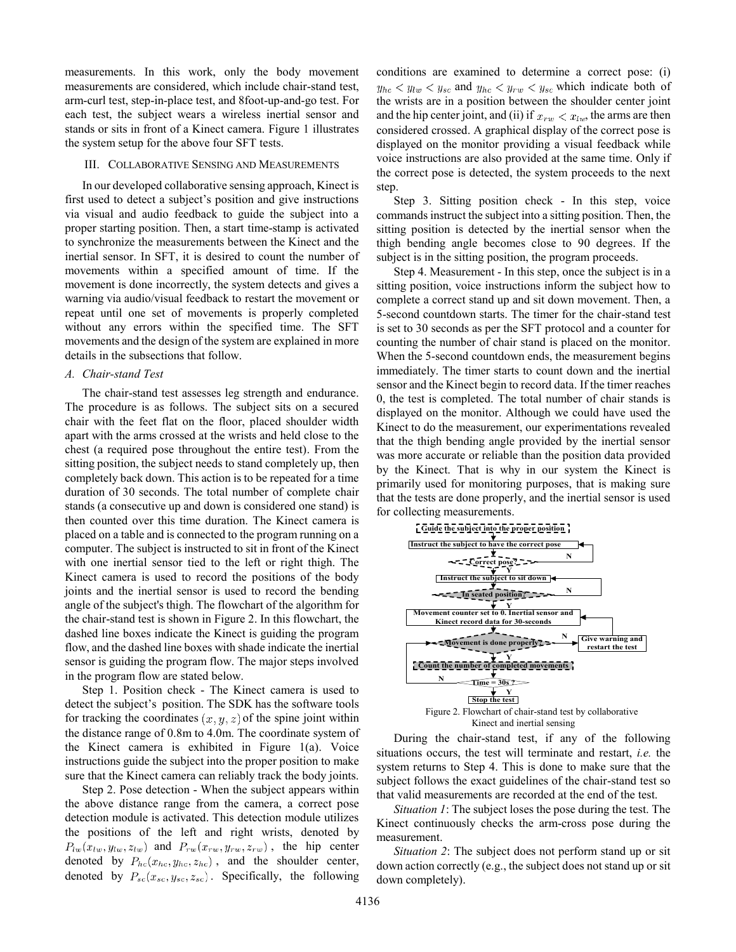measurements. In this work, only the body movement measurements are considered, which include chair-stand test, arm-curl test, step-in-place test, and 8foot-up-and-go test. For each test, the subject wears a wireless inertial sensor and stands or sits in front of a Kinect camera. Figure 1 illustrates the system setup for the above four SFT tests.

### III. COLLABORATIVE SENSING AND MEASUREMENTS

In our developed collaborative sensing approach, Kinect is first used to detect a subject's position and give instructions via visual and audio feedback to guide the subject into a proper starting position. Then, a start time-stamp is activated to synchronize the measurements between the Kinect and the inertial sensor. In SFT, it is desired to count the number of movements within a specified amount of time. If the movement is done incorrectly, the system detects and gives a warning via audio/visual feedback to restart the movement or repeat until one set of movements is properly completed without any errors within the specified time. The SFT movements and the design of the system are explained in more details in the subsections that follow.

#### *A. Chair-stand Test*

The chair-stand test assesses leg strength and endurance. The procedure is as follows. The subject sits on a secured chair with the feet flat on the floor, placed shoulder width apart with the arms crossed at the wrists and held close to the chest (a required pose throughout the entire test). From the sitting position, the subject needs to stand completely up, then completely back down. This action is to be repeated for a time duration of 30 seconds. The total number of complete chair stands (a consecutive up and down is considered one stand) is then counted over this time duration. The Kinect camera is placed on a table and is connected to the program running on a computer. The subject is instructed to sit in front of the Kinect with one inertial sensor tied to the left or right thigh. The Kinect camera is used to record the positions of the body joints and the inertial sensor is used to record the bending angle of the subject's thigh. The flowchart of the algorithm for the chair-stand test is shown in Figure 2. In this flowchart, the dashed line boxes indicate the Kinect is guiding the program flow, and the dashed line boxes with shade indicate the inertial sensor is guiding the program flow. The major steps involved in the program flow are stated below.

Step 1. Position check - The Kinect camera is used to detect the subject's position. The SDK has the software tools for tracking the coordinates  $(x, y, z)$  of the spine joint within the distance range of 0.8m to 4.0m. The coordinate system of the Kinect camera is exhibited in Figure 1(a). Voice instructions guide the subject into the proper position to make sure that the Kinect camera can reliably track the body joints.

Step 2. Pose detection - When the subject appears within the above distance range from the camera, a correct pose detection module is activated. This detection module utilizes the positions of the left and right wrists, denoted by  $P_{lw}(x_{lw}, y_{lw}, z_{lw})$  and  $P_{rw}(x_{rw}, y_{rw}, z_{rw})$ , the hip center denoted by  $P_{hc}(x_{hc}, y_{hc}, z_{hc})$ , and the shoulder center, denoted by  $P_{sc}(x_{sc}, y_{sc}, z_{sc})$ . Specifically, the following conditions are examined to determine a correct pose: (i)  $y_{hc}$   $y_{lw}$   $y_{sc}$  and  $y_{hc}$   $y_{rw}$   $y_{sc}$  which indicate both of the wrists are in a position between the shoulder center joint and the hip center joint, and (ii) if  $x_{rw} < x_{tw}$ , the arms are then considered crossed. A graphical display of the correct pose is displayed on the monitor providing a visual feedback while voice instructions are also provided at the same time. Only if the correct pose is detected, the system proceeds to the next step.

Step 3. Sitting position check - In this step, voice commands instruct the subject into a sitting position. Then, the sitting position is detected by the inertial sensor when the thigh bending angle becomes close to 90 degrees. If the subject is in the sitting position, the program proceeds.

Step 4. Measurement - In this step, once the subject is in a sitting position, voice instructions inform the subject how to complete a correct stand up and sit down movement. Then, a 5-second countdown starts. The timer for the chair-stand test is set to 30 seconds as per the SFT protocol and a counter for counting the number of chair stand is placed on the monitor. When the 5-second countdown ends, the measurement begins immediately. The timer starts to count down and the inertial sensor and the Kinect begin to record data. If the timer reaches 0, the test is completed. The total number of chair stands is displayed on the monitor. Although we could have used the Kinect to do the measurement, our experimentations revealed that the thigh bending angle provided by the inertial sensor was more accurate or reliable than the position data provided by the Kinect. That is why in our system the Kinect is primarily used for monitoring purposes, that is making sure that the tests are done properly, and the inertial sensor is used for collecting measurements.



Kinect and inertial sensing

During the chair-stand test, if any of the following situations occurs, the test will terminate and restart, *i.e.* the system returns to Step 4. This is done to make sure that the subject follows the exact guidelines of the chair-stand test so that valid measurements are recorded at the end of the test.

*Situation 1*: The subject loses the pose during the test. The Kinect continuously checks the arm-cross pose during the measurement.

*Situation 2*: The subject does not perform stand up or sit down action correctly (e.g., the subject does not stand up or sit down completely).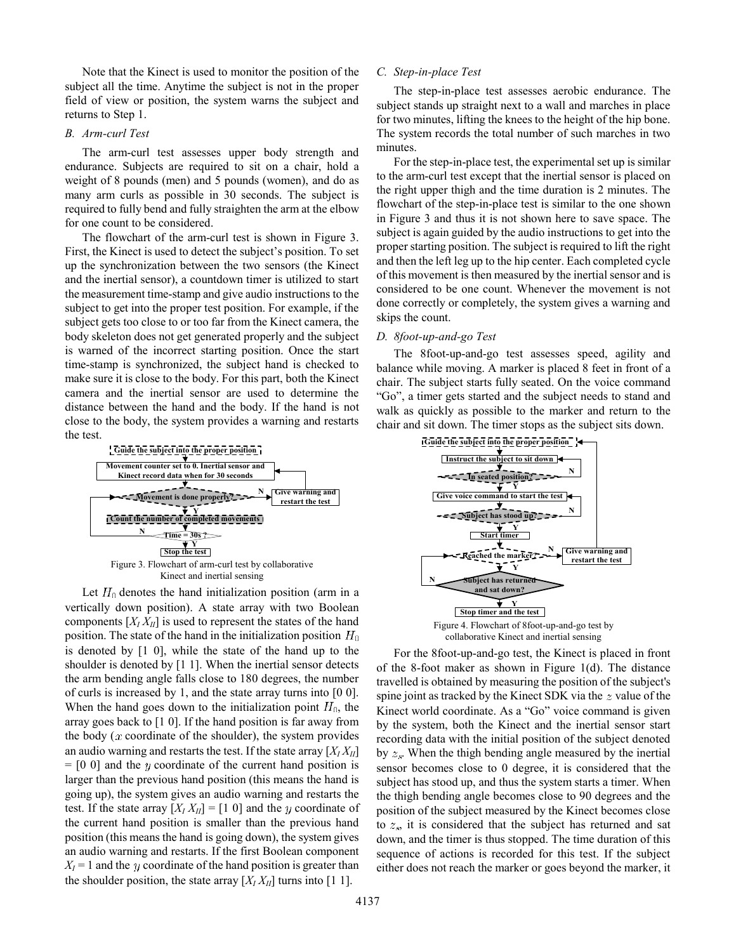Note that the Kinect is used to monitor the position of the subject all the time. Anytime the subject is not in the proper field of view or position, the system warns the subject and returns to Step 1.

#### *B. Arm-curl Test*

The arm-curl test assesses upper body strength and endurance. Subjects are required to sit on a chair, hold a weight of 8 pounds (men) and 5 pounds (women), and do as many arm curls as possible in 30 seconds. The subject is required to fully bend and fully straighten the arm at the elbow for one count to be considered.

The flowchart of the arm-curl test is shown in Figure 3. First, the Kinect is used to detect the subject's position. To set up the synchronization between the two sensors (the Kinect and the inertial sensor), a countdown timer is utilized to start the measurement time-stamp and give audio instructions to the subject to get into the proper test position. For example, if the subject gets too close to or too far from the Kinect camera, the body skeleton does not get generated properly and the subject is warned of the incorrect starting position. Once the start time-stamp is synchronized, the subject hand is checked to make sure it is close to the body. For this part, both the Kinect camera and the inertial sensor are used to determine the distance between the hand and the body. If the hand is not close to the body, the system provides a warning and restarts the test.



Let  $H_0$  denotes the hand initialization position (arm in a vertically down position). A state array with two Boolean components  $[X_I X_{II}]$  is used to represent the states of the hand position. The state of the hand in the initialization position  $H_0$ is denoted by [1 0], while the state of the hand up to the shoulder is denoted by [1 1]. When the inertial sensor detects the arm bending angle falls close to 180 degrees, the number of curls is increased by 1, and the state array turns into [0 0]. When the hand goes down to the initialization point  $H_0$ , the array goes back to [1 0]. If the hand position is far away from the body ( $x$  coordinate of the shoulder), the system provides an audio warning and restarts the test. If the state array  $[X_I X_{II}]$  $=$  [0 0] and the y coordinate of the current hand position is larger than the previous hand position (this means the hand is going up), the system gives an audio warning and restarts the test. If the state array  $[X_I X_{II}] = [1 \ 0]$  and the y coordinate of the current hand position is smaller than the previous hand position (this means the hand is going down), the system gives an audio warning and restarts. If the first Boolean component  $X_I = 1$  and the y coordinate of the hand position is greater than the shoulder position, the state array  $[X_I X_{II}]$  turns into [1 1].

# *C. Step-in-place Test*

The step-in-place test assesses aerobic endurance. The subject stands up straight next to a wall and marches in place for two minutes, lifting the knees to the height of the hip bone. The system records the total number of such marches in two minutes.

For the step-in-place test, the experimental set up is similar to the arm-curl test except that the inertial sensor is placed on the right upper thigh and the time duration is 2 minutes. The flowchart of the step-in-place test is similar to the one shown in Figure 3 and thus it is not shown here to save space. The subject is again guided by the audio instructions to get into the proper starting position. The subject is required to lift the right and then the left leg up to the hip center. Each completed cycle of this movement is then measured by the inertial sensor and is considered to be one count. Whenever the movement is not done correctly or completely, the system gives a warning and skips the count.

### *D. 8foot-up-and-go Test*

The 8foot-up-and-go test assesses speed, agility and balance while moving. A marker is placed 8 feet in front of a chair. The subject starts fully seated. On the voice command "Go", a timer gets started and the subject needs to stand and walk as quickly as possible to the marker and return to the chair and sit down. The timer stops as the subject sits down.





For the 8foot-up-and-go test, the Kinect is placed in front of the 8-foot maker as shown in Figure 1(d). The distance travelled is obtained by measuring the position of the subject's spine joint as tracked by the Kinect SDK via the  $z$  value of the Kinect world coordinate. As a "Go" voice command is given by the system, both the Kinect and the inertial sensor start recording data with the initial position of the subject denoted by  $z_s$ . When the thigh bending angle measured by the inertial sensor becomes close to 0 degree, it is considered that the subject has stood up, and thus the system starts a timer. When the thigh bending angle becomes close to 90 degrees and the position of the subject measured by the Kinect becomes close to  $z_s$ , it is considered that the subject has returned and sat down, and the timer is thus stopped. The time duration of this sequence of actions is recorded for this test. If the subject either does not reach the marker or goes beyond the marker, it